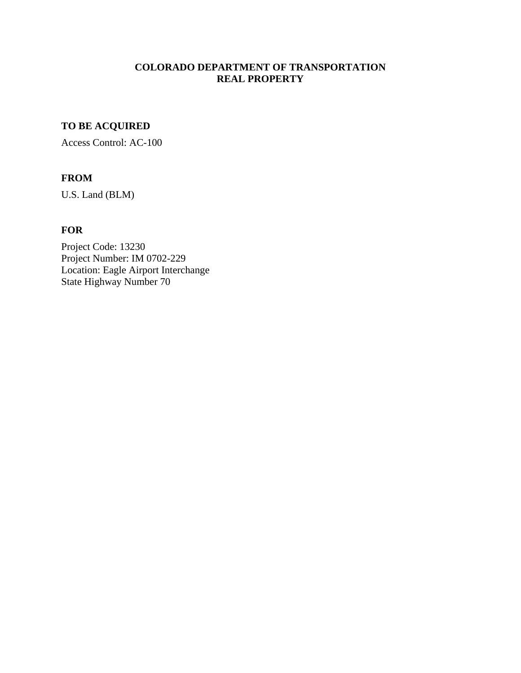### **COLORADO DEPARTMENT OF TRANSPORTATION REAL PROPERTY**

# **TO BE ACQUIRED**

Access Control: AC-100

## **FROM**

U.S. Land (BLM)

## **FOR**

Project Code: 13230 Project Number: IM 0702-229 Location: Eagle Airport Interchange State Highway Number 70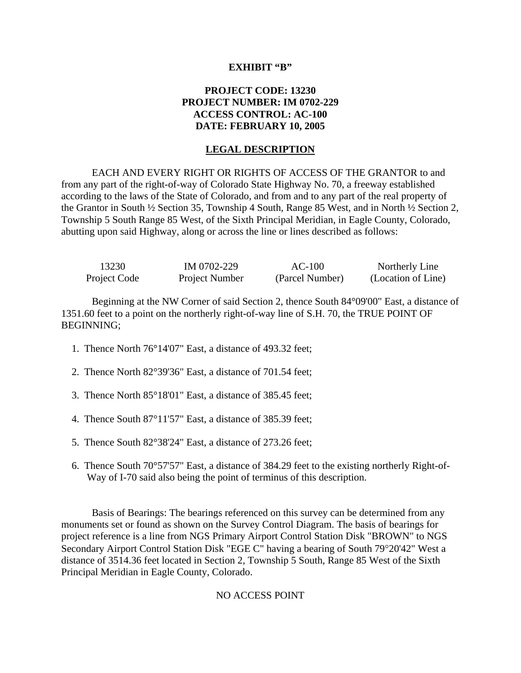#### **EXHIBIT "B"**

### **PROJECT CODE: 13230 PROJECT NUMBER: IM 0702-229 ACCESS CONTROL: AC-100 DATE: FEBRUARY 10, 2005**

#### **LEGAL DESCRIPTION**

EACH AND EVERY RIGHT OR RIGHTS OF ACCESS OF THE GRANTOR to and from any part of the right-of-way of Colorado State Highway No. 70, a freeway established according to the laws of the State of Colorado, and from and to any part of the real property of the Grantor in South ½ Section 35, Township 4 South, Range 85 West, and in North ½ Section 2, Township 5 South Range 85 West, of the Sixth Principal Meridian, in Eagle County, Colorado, abutting upon said Highway, along or across the line or lines described as follows:

| 13230        | IM 0702-229    | $AC-100$        | Northerly Line     |
|--------------|----------------|-----------------|--------------------|
| Project Code | Project Number | (Parcel Number) | (Location of Line) |

Beginning at the NW Corner of said Section 2, thence South 84°09'00" East, a distance of 1351.60 feet to a point on the northerly right-of-way line of S.H. 70, the TRUE POINT OF BEGINNING;

- 1. Thence North 76°14'07" East, a distance of 493.32 feet;
- 2. Thence North 82°39'36" East, a distance of 701.54 feet;
- 3. Thence North 85°18'01" East, a distance of 385.45 feet;
- 4. Thence South 87°11'57" East, a distance of 385.39 feet;
- 5. Thence South 82°38'24" East, a distance of 273.26 feet;
- 6. Thence South 70°57'57" East, a distance of 384.29 feet to the existing northerly Right-of-Way of I-70 said also being the point of terminus of this description.

Basis of Bearings: The bearings referenced on this survey can be determined from any monuments set or found as shown on the Survey Control Diagram. The basis of bearings for project reference is a line from NGS Primary Airport Control Station Disk "BROWN" to NGS Secondary Airport Control Station Disk "EGE C" having a bearing of South 79°20'42" West a distance of 3514.36 feet located in Section 2, Township 5 South, Range 85 West of the Sixth Principal Meridian in Eagle County, Colorado.

#### NO ACCESS POINT